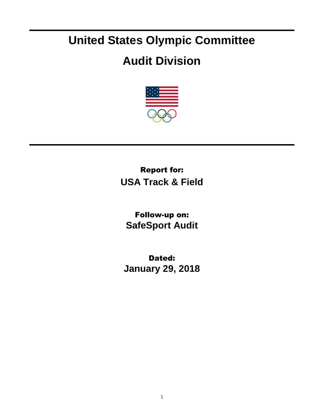## **United States Olympic Committee**

## **Audit Division**



Report for: **USA Track & Field**

Follow-up on: **SafeSport Audit**

Dated: **January 29, 2018**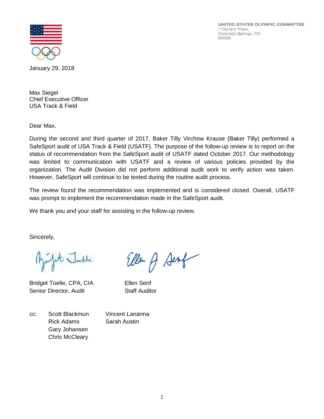UNITED STATES OLYMPIC COMMITTEE 1 Olympic Plaza Colorado Springs, CO 80909



January 29, 2018

Max Siegel Chief Executive Officer USA Track & Field

Dear Max,

During the second and third quarter of 2017, Baker Tilly Virchow Krause (Baker Tilly) performed a SafeSport audit of USA Track & Field (USATF). The purpose of the follow-up review is to report on the status of recommendation from the SafeSport audit of USATF dated October 2017. Our methodology was limited to communication with USATF and a review of various policies provided by the organization. The Audit Division did not perform additional audit work to verify action was taken. However, SafeSport will continue to be tested during the routine audit process.

The review found the recommendation was implemented and is considered closed. Overall, USATF was prompt to implement the recommendation made in the SafeSport audit.

We thank you and your staff for assisting in the follow-up review.

Sincerely,

it Julle

Bridget Toelle, CPA, CIA Ellen Senf Senior Director, Audit Staff Auditor

Ellen A Sent

cc: Scott Blackmun Vincent Lananna Rick Adams Sarah Austin Gary Johansen Chris McCleary